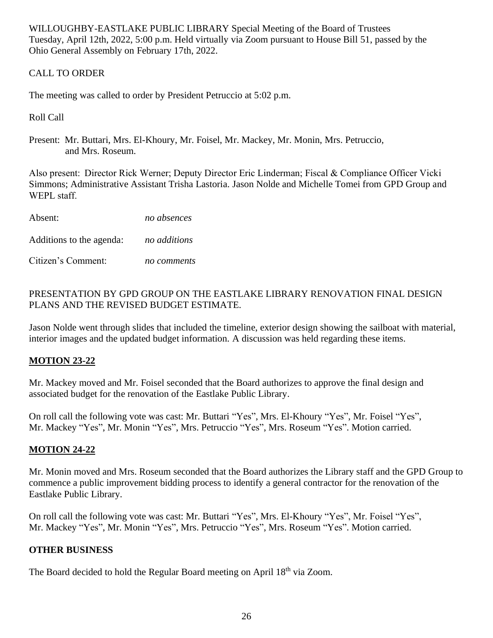WILLOUGHBY-EASTLAKE PUBLIC LIBRARY Special Meeting of the Board of Trustees Tuesday, April 12th, 2022, 5:00 p.m. Held virtually via Zoom pursuant to House Bill 51, passed by the Ohio General Assembly on February 17th, 2022.

# CALL TO ORDER

The meeting was called to order by President Petruccio at 5:02 p.m.

# Roll Call

Present: Mr. Buttari, Mrs. El-Khoury, Mr. Foisel, Mr. Mackey, Mr. Monin, Mrs. Petruccio, and Mrs. Roseum.

Also present:  Director Rick Werner; Deputy Director Eric Linderman; Fiscal & Compliance Officer Vicki Simmons; Administrative Assistant Trisha Lastoria. Jason Nolde and Michelle Tomei from GPD Group and WEPL staff.

Absent: *no absences*

Additions to the agenda: *no additions*

Citizen's Comment: *no comments*

## PRESENTATION BY GPD GROUP ON THE EASTLAKE LIBRARY RENOVATION FINAL DESIGN PLANS AND THE REVISED BUDGET ESTIMATE.

Jason Nolde went through slides that included the timeline, exterior design showing the sailboat with material, interior images and the updated budget information. A discussion was held regarding these items.

## **MOTION 23-22**

Mr. Mackey moved and Mr. Foisel seconded that the Board authorizes to approve the final design and associated budget for the renovation of the Eastlake Public Library.

On roll call the following vote was cast: Mr. Buttari "Yes", Mrs. El-Khoury "Yes", Mr. Foisel "Yes", Mr. Mackey "Yes", Mr. Monin "Yes", Mrs. Petruccio "Yes", Mrs. Roseum "Yes". Motion carried.

## **MOTION 24-22**

Mr. Monin moved and Mrs. Roseum seconded that the Board authorizes the Library staff and the GPD Group to commence a public improvement bidding process to identify a general contractor for the renovation of the Eastlake Public Library.

On roll call the following vote was cast: Mr. Buttari "Yes", Mrs. El-Khoury "Yes", Mr. Foisel "Yes", Mr. Mackey "Yes", Mr. Monin "Yes", Mrs. Petruccio "Yes", Mrs. Roseum "Yes". Motion carried.

## **OTHER BUSINESS**

The Board decided to hold the Regular Board meeting on April 18<sup>th</sup> via Zoom.